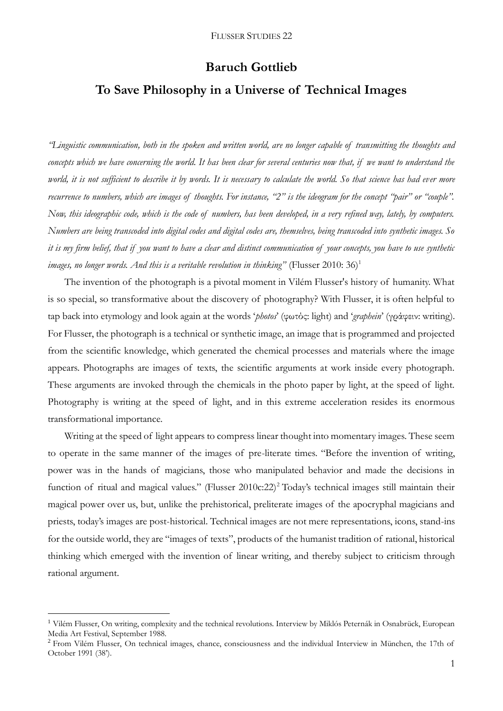## **Baruch Gottlieb**

# **To Save Philosophy in a Universe of Technical Images**

*"Linguistic communication, both in the spoken and written world, are no longer capable of transmitting the thoughts and concepts which we have concerning the world. It has been clear for several centuries now that, if we want to understand the world, it is not sufficient to describe it by words. It is necessary to calculate the world. So that science has had ever more recurrence to numbers, which are images of thoughts. For instance, "2" is the ideogram for the concept "pair" or "couple". Now, this ideographic code, which is the code of numbers, has been developed, in a very refined way, lately, by computers. Numbers are being transcoded into digital codes and digital codes are, themselves, being transcoded into synthetic images. So it is my firm belief, that if you want to have a clear and distinct communication of your concepts, you have to use synthetic images*, no longer words. And this is a veritable revolution in thinking" (Flusser 2010: 36)<sup>1</sup>

The invention of the photograph is a pivotal moment in Vilém Flusser's history of humanity. What is so special, so transformative about the discovery of photography? With Flusser, it is often helpful to tap back into etymology and look again at the words '*photos*' (φωτός: light) and '*graphein*' (γράφειν: writing). For Flusser, the photograph is a technical or synthetic image, an image that is programmed and projected from the scientific knowledge, which generated the chemical processes and materials where the image appears. Photographs are images of texts, the scientific arguments at work inside every photograph. These arguments are invoked through the chemicals in the photo paper by light, at the speed of light. Photography is writing at the speed of light, and in this extreme acceleration resides its enormous transformational importance.

Writing at the speed of light appears to compress linear thought into momentary images. These seem to operate in the same manner of the images of pre-literate times. "Before the invention of writing, power was in the hands of magicians, those who manipulated behavior and made the decisions in function of ritual and magical values." (Flusser 2010c:22)<sup>2</sup> Today's technical images still maintain their magical power over us, but, unlike the prehistorical, preliterate images of the apocryphal magicians and priests, today's images are post-historical. Technical images are not mere representations, icons, stand-ins for the outside world, they are "images of texts", products of the humanist tradition of rational, historical thinking which emerged with the invention of linear writing, and thereby subject to criticism through rational argument.

1

<sup>1</sup> Vilém Flusser, On writing, complexity and the technical revolutions. Interview by Miklós Peternák in Osnabrück, European Media Art Festival, September 1988.

<sup>&</sup>lt;sup>2</sup> From Vilém Flusser, On technical images, chance, consciousness and the individual Interview in München, the 17th of October 1991 (38').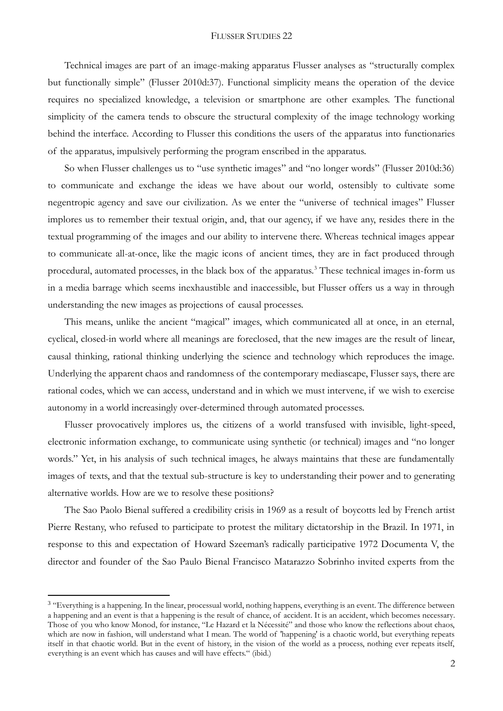#### FLUSSER STUDIES 22

Technical images are part of an image-making apparatus Flusser analyses as "structurally complex but functionally simple" (Flusser 2010d:37). Functional simplicity means the operation of the device requires no specialized knowledge, a television or smartphone are other examples. The functional simplicity of the camera tends to obscure the structural complexity of the image technology working behind the interface. According to Flusser this conditions the users of the apparatus into functionaries of the apparatus, impulsively performing the program enscribed in the apparatus.

So when Flusser challenges us to "use synthetic images" and "no longer words" (Flusser 2010d:36) to communicate and exchange the ideas we have about our world, ostensibly to cultivate some negentropic agency and save our civilization. As we enter the "universe of technical images" Flusser implores us to remember their textual origin, and, that our agency, if we have any, resides there in the textual programming of the images and our ability to intervene there. Whereas technical images appear to communicate all-at-once, like the magic icons of ancient times, they are in fact produced through procedural, automated processes, in the black box of the apparatus.<sup>3</sup> These technical images in-form us in a media barrage which seems inexhaustible and inaccessible, but Flusser offers us a way in through understanding the new images as projections of causal processes.

This means, unlike the ancient "magical" images, which communicated all at once, in an eternal, cyclical, closed-in world where all meanings are foreclosed, that the new images are the result of linear, causal thinking, rational thinking underlying the science and technology which reproduces the image. Underlying the apparent chaos and randomness of the contemporary mediascape, Flusser says, there are rational codes, which we can access, understand and in which we must intervene, if we wish to exercise autonomy in a world increasingly over-determined through automated processes.

Flusser provocatively implores us, the citizens of a world transfused with invisible, light-speed, electronic information exchange, to communicate using synthetic (or technical) images and "no longer words." Yet, in his analysis of such technical images, he always maintains that these are fundamentally images of texts, and that the textual sub-structure is key to understanding their power and to generating alternative worlds. How are we to resolve these positions?

The Sao Paolo Bienal suffered a credibility crisis in 1969 as a result of boycotts led by French artist Pierre Restany, who refused to participate to protest the military dictatorship in the Brazil. In 1971, in response to this and expectation of Howard Szeeman's radically participative 1972 Documenta V, the director and founder of the Sao Paulo Bienal Francisco Matarazzo Sobrinho invited experts from the

1

<sup>&</sup>lt;sup>3</sup> "Everything is a happening. In the linear, processual world, nothing happens, everything is an event. The difference between a happening and an event is that a happening is the result of chance, of accident. It is an accident, which becomes necessary. Those of you who know Monod, for instance, "Le Hazard et la Nécessité" and those who know the reflections about chaos, which are now in fashion, will understand what I mean. The world of 'happening' is a chaotic world, but everything repeats itself in that chaotic world. But in the event of history, in the vision of the world as a process, nothing ever repeats itself, everything is an event which has causes and will have effects." (ibid.)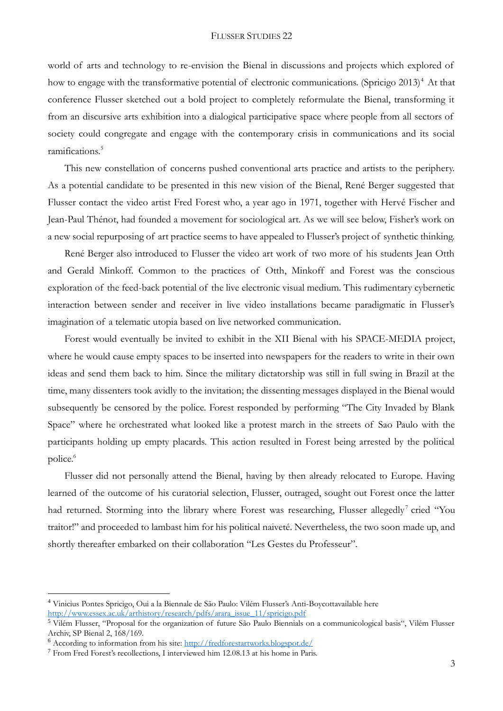world of arts and technology to re-envision the Bienal in discussions and projects which explored of how to engage with the transformative potential of electronic communications. (Spricigo 2013)<sup>4</sup> At that conference Flusser sketched out a bold project to completely reformulate the Bienal, transforming it from an discursive arts exhibition into a dialogical participative space where people from all sectors of society could congregate and engage with the contemporary crisis in communications and its social ramifications.<sup>5</sup>

This new constellation of concerns pushed conventional arts practice and artists to the periphery. As a potential candidate to be presented in this new vision of the Bienal, René Berger suggested that Flusser contact the video artist Fred Forest who, a year ago in 1971, together with Hervé Fischer and Jean-Paul Thénot, had founded a movement for sociological art. As we will see below, Fisher's work on a new social repurposing of art practice seems to have appealed to Flusser's project of synthetic thinking.

René Berger also introduced to Flusser the video art work of two more of his students Jean Otth and Gerald Minkoff. Common to the practices of Otth, Minkoff and Forest was the conscious exploration of the feed-back potential of the live electronic visual medium. This rudimentary cybernetic interaction between sender and receiver in live video installations became paradigmatic in Flusser's imagination of a telematic utopia based on live networked communication.

Forest would eventually be invited to exhibit in the XII Bienal with his SPACE-MEDIA project, where he would cause empty spaces to be inserted into newspapers for the readers to write in their own ideas and send them back to him. Since the military dictatorship was still in full swing in Brazil at the time, many dissenters took avidly to the invitation; the dissenting messages displayed in the Bienal would subsequently be censored by the police. Forest responded by performing "The City Invaded by Blank Space" where he orchestrated what looked like a protest march in the streets of Sao Paulo with the participants holding up empty placards. This action resulted in Forest being arrested by the political police.<sup>6</sup>

Flusser did not personally attend the Bienal, having by then already relocated to Europe. Having learned of the outcome of his curatorial selection, Flusser, outraged, sought out Forest once the latter had returned. Storming into the library where Forest was researching, Flusser allegedly<sup>7</sup> cried "You traitor!" and proceeded to lambast him for his political naiveté. Nevertheless, the two soon made up, and shortly thereafter embarked on their collaboration "Les Gestes du Professeur".

<u>.</u>

<sup>4</sup> Vinicius Pontes Spricigo, Oui a la Biennale de São Paulo: Vilém Flusser's Anti-Boycottavailable here [http://www.essex.ac.uk/arthistory/research/pdfs/arara\\_issue\\_11/spricigo.pdf](http://www.essex.ac.uk/arthistory/research/pdfs/arara_issue_11/spricigo.pdf)

<sup>5</sup> Vilém Flusser, "Proposal for the organization of future São Paulo Biennials on a communicological basis", Vilém Flusser Archiv, SP Bienal 2, 168/169.

<sup>6</sup> According to information from his site:<http://fredforestartworks.blogspot.de/>

<sup>7</sup> From Fred Forest's recollections, I interviewed him 12.08.13 at his home in Paris.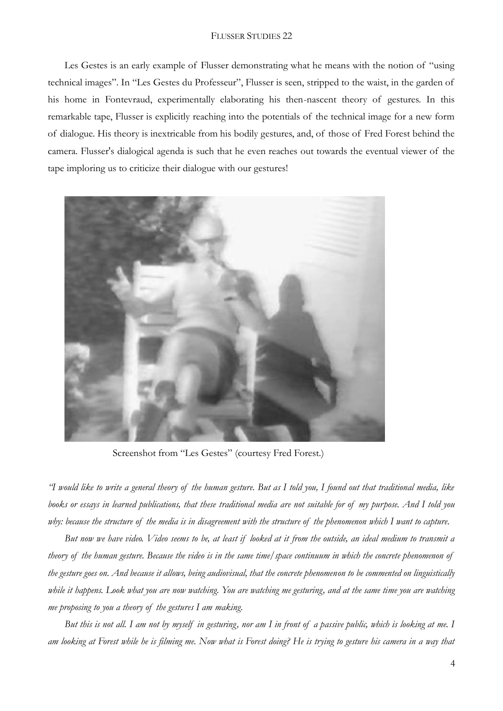#### FLUSSER STUDIES 22

Les Gestes is an early example of Flusser demonstrating what he means with the notion of "using technical images". In "Les Gestes du Professeur", Flusser is seen, stripped to the waist, in the garden of his home in Fontevraud, experimentally elaborating his then-nascent theory of gestures. In this remarkable tape, Flusser is explicitly reaching into the potentials of the technical image for a new form of dialogue. His theory is inextricable from his bodily gestures, and, of those of Fred Forest behind the camera. Flusser's dialogical agenda is such that he even reaches out towards the eventual viewer of the tape imploring us to criticize their dialogue with our gestures!



Screenshot from "Les Gestes" (courtesy Fred Forest.)

*"I would like to write a general theory of the human gesture. But as I told you, I found out that traditional media, like books or essays in learned publications, that these traditional media are not suitable for of my purpose. And I told you why: because the structure of the media is in disagreement with the structure of the phenomenon which I want to capture.*

*But now we have video. Video seems to be, at least if looked at it from the outside, an ideal medium to transmit a theory of the human gesture. Because the video is in the same time/space continuum in which the concrete phenomenon of the gesture goes on. And because it allows, being audiovisual, that the concrete phenomenon to be commented on linguistically while it happens. Look what you are now watching. You are watching me gesturing, and at the same time you are watching me proposing to you a theory of the gestures I am making.*

*But this is not all. I am not by myself in gesturing, nor am I in front of a passive public, which is looking at me. I am looking at Forest while he is filming me. Now what is Forest doing? He is trying to gesture his camera in a way that*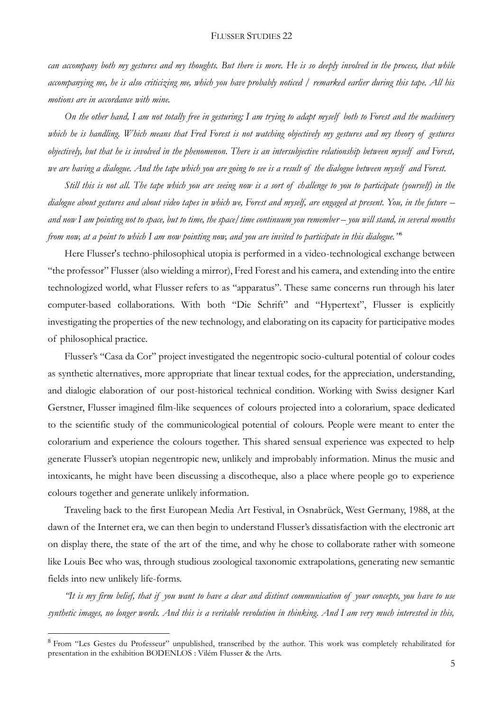*can accompany both my gestures and my thoughts. But there is more. He is so deeply involved in the process, that while accompanying me, he is also criticizing me, which you have probably noticed / remarked earlier during this tape. All his motions are in accordance with mine.*

*On the other hand, I am not totally free in gesturing; I am trying to adapt myself both to Forest and the machinery which he is handling. Which means that Fred Forest is not watching objectively my gestures and my theory of gestures objectively, but that he is involved in the phenomenon. There is an intersubjective relationship between myself and Forest, we are having a dialogue. And the tape which you are going to see is a result of the dialogue between myself and Forest.*

*Still this is not all. The tape which you are seeing now is a sort of challenge to you to participate (yourself) in the dialogue about gestures and about video tapes in which we, Forest and myself, are engaged at present. You, in the future – and now I am pointing not to space, but to time, the space/time continuum you remember – you will stand, in several months from now, at a point to which I am now pointing now, and you are invited to participate in this dialogue."*<sup>8</sup>

Here Flusser's techno-philosophical utopia is performed in a video-technological exchange between "the professor" Flusser (also wielding a mirror), Fred Forest and his camera, and extending into the entire technologized world, what Flusser refers to as "apparatus". These same concerns run through his later computer-based collaborations. With both "Die Schrift" and "Hypertext", Flusser is explicitly investigating the properties of the new technology, and elaborating on its capacity for participative modes of philosophical practice.

Flusser's "Casa da Cor" project investigated the negentropic socio-cultural potential of colour codes as synthetic alternatives, more appropriate that linear textual codes, for the appreciation, understanding, and dialogic elaboration of our post-historical technical condition. Working with Swiss designer Karl Gerstner, Flusser imagined film-like sequences of colours projected into a colorarium, space dedicated to the scientific study of the communicological potential of colours. People were meant to enter the colorarium and experience the colours together. This shared sensual experience was expected to help generate Flusser's utopian negentropic new, unlikely and improbably information. Minus the music and intoxicants, he might have been discussing a discotheque, also a place where people go to experience colours together and generate unlikely information.

Traveling back to the first European Media Art Festival, in Osnabrück, West Germany, 1988, at the dawn of the Internet era, we can then begin to understand Flusser's dissatisfaction with the electronic art on display there, the state of the art of the time, and why he chose to collaborate rather with someone like Louis Bec who was, through studious zoological taxonomic extrapolations, generating new semantic fields into new unlikely life-forms.

*"It is my firm belief, that if you want to have a clear and distinct communication of your concepts, you have to use synthetic images, no longer words. And this is a veritable revolution in thinking. And I am very much interested in this,* 

1

<sup>8</sup> From "Les Gestes du Professeur" unpublished, transcribed by the author. This work was completely rehabilitated for presentation in the exhibition BODENLOS : Vilém Flusser & the Arts.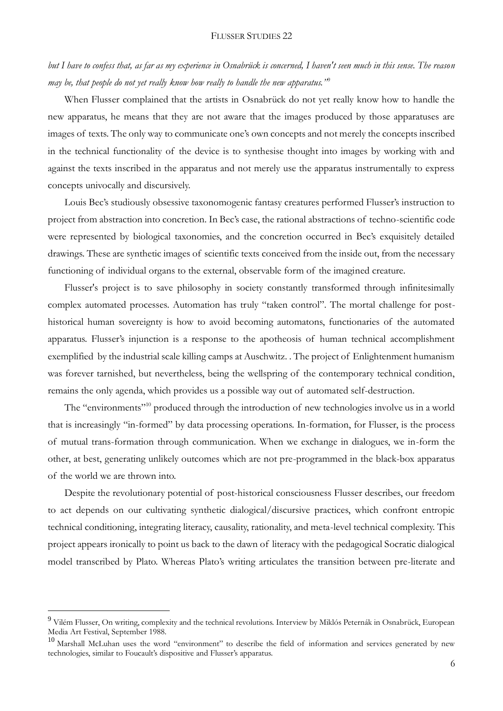#### FLUSSER STUDIES 22

*but I have to confess that, as far as my experience in Osnabrück is concerned, I haven't seen much in this sense. The reason may be, that people do not yet really know how really to handle the new apparatus."*<sup>9</sup>

When Flusser complained that the artists in Osnabrück do not yet really know how to handle the new apparatus, he means that they are not aware that the images produced by those apparatuses are images of texts. The only way to communicate one's own concepts and not merely the concepts inscribed in the technical functionality of the device is to synthesise thought into images by working with and against the texts inscribed in the apparatus and not merely use the apparatus instrumentally to express concepts univocally and discursively.

Louis Bec's studiously obsessive taxonomogenic fantasy creatures performed Flusser's instruction to project from abstraction into concretion. In Bec's case, the rational abstractions of techno-scientific code were represented by biological taxonomies, and the concretion occurred in Bec's exquisitely detailed drawings. These are synthetic images of scientific texts conceived from the inside out, from the necessary functioning of individual organs to the external, observable form of the imagined creature.

Flusser's project is to save philosophy in society constantly transformed through infinitesimally complex automated processes. Automation has truly "taken control". The mortal challenge for posthistorical human sovereignty is how to avoid becoming automatons, functionaries of the automated apparatus. Flusser's injunction is a response to the apotheosis of human technical accomplishment exemplified by the industrial scale killing camps at Auschwitz. . The project of Enlightenment humanism was forever tarnished, but nevertheless, being the wellspring of the contemporary technical condition, remains the only agenda, which provides us a possible way out of automated self-destruction.

The "environments"<sup>10</sup> produced through the introduction of new technologies involve us in a world that is increasingly "in-formed" by data processing operations. In-formation, for Flusser, is the process of mutual trans-formation through communication. When we exchange in dialogues, we in-form the other, at best, generating unlikely outcomes which are not pre-programmed in the black-box apparatus of the world we are thrown into.

Despite the revolutionary potential of post-historical consciousness Flusser describes, our freedom to act depends on our cultivating synthetic dialogical/discursive practices, which confront entropic technical conditioning, integrating literacy, causality, rationality, and meta-level technical complexity. This project appears ironically to point us back to the dawn of literacy with the pedagogical Socratic dialogical model transcribed by Plato. Whereas Plato's writing articulates the transition between pre-literate and

<u>.</u>

<sup>&</sup>lt;sup>9</sup> Vilém Flusser, On writing, complexity and the technical revolutions. Interview by Miklós Peternák in Osnabrück, European Media Art Festival, September 1988.

<sup>&</sup>lt;sup>10</sup> Marshall McLuhan uses the word "environment" to describe the field of information and services generated by new technologies, similar to Foucault's dispositive and Flusser's apparatus.